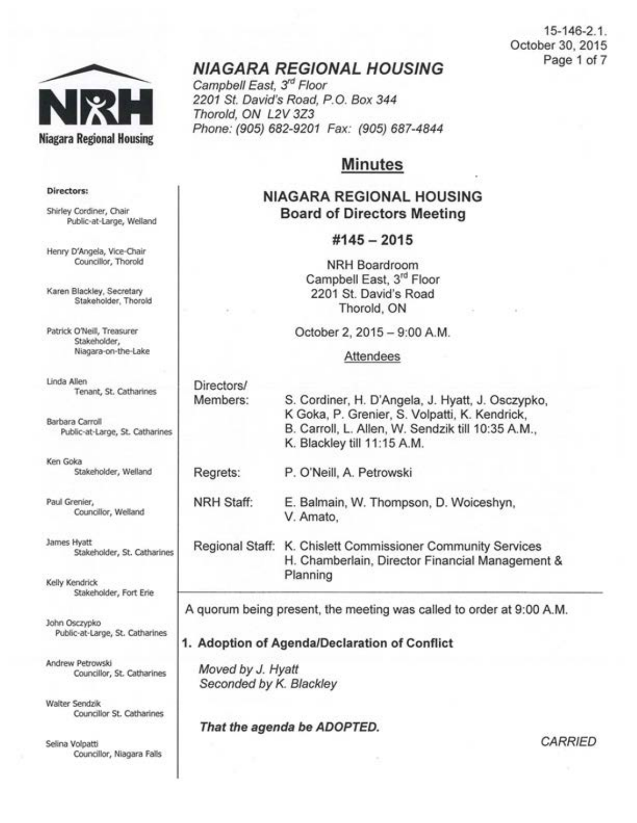15-146-2.1 . October 30, 2015 Page 1 of 7



# **NIAGARA REGIONAL HOUSING**

Campbell East, 3<sup>rd</sup> Floor 2201 St. David's Road, P.O. Box 344 Thorold, ON L2V 3Z3 Phone: (905) 682-9201 Fax: (905) 687-4844

# **Minutes**

## **NIAGARA REGIONAL HOUSING Board of Directors Meeting**

#### **#145- 2015**

NRH Boardroom Campbell East, 3<sup>rd</sup> Floor 2201 St. David's Road Thorold, ON

October 2, 2015-9:00 A.M.

#### Attendees

| Directors/ |                                                                                                   |
|------------|---------------------------------------------------------------------------------------------------|
| Members:   | S. Cordiner, H. D'Angela, J. Hyatt, J. Osczypko,<br>K Goka, P. Grenier, S. Volpatti, K. Kendrick, |
|            | B. Carroll, L. Allen, W. Sendzik till 10:35 A.M.,<br>K. Blackley till 11:15 A.M.                  |
| Regrets:   | P. O'Neill, A. Petrowski                                                                          |

NRH Staff: E. Balmain, W. Thompson, D. Woiceshyn, V. Amato,

Regional Staff: K. Chislett Commissioner Community Services H. Chamberlain, Director Financial Management & Planning

A quorum being present, the meeting was called to order at 9:00 A.M.

#### **1. Adoption of Agenda/Declaration of Conflict**

Moved by J. Hyatt Seconded by K. Blackley

#### **That the agenda be ADOPTED.**

*CARRIED* 

#### Directors:

Shirley Cordiner, Chair Public-at-Large, Weiland

Henry D'Angela, Vice-Chair Councillor, Thorold

Karen Blackley, Secretary Stakeholder, Thorold

Patrick O'Neill, Treasurer Stakeholder, Niagara-on-the-Lake

Linda Allen Tenant, St. Catharines

Barbara Carroll Public-at-Large, St. Catharines

Ken Goka Stakeholder, Weiland

Paul Grenier, Councillor, Weiland

James Hyatt Stakeholder, St. Catharines

Kelly Kendrick Stakeholder, Fort Erie

John Osczypko Public-at-Large, St. Catharines

Andrew Petrowski Councillor, St. Catharines

Walter Sendzik Councillor St. Catharines

Selina Volpatti Councillor, Niagara Falls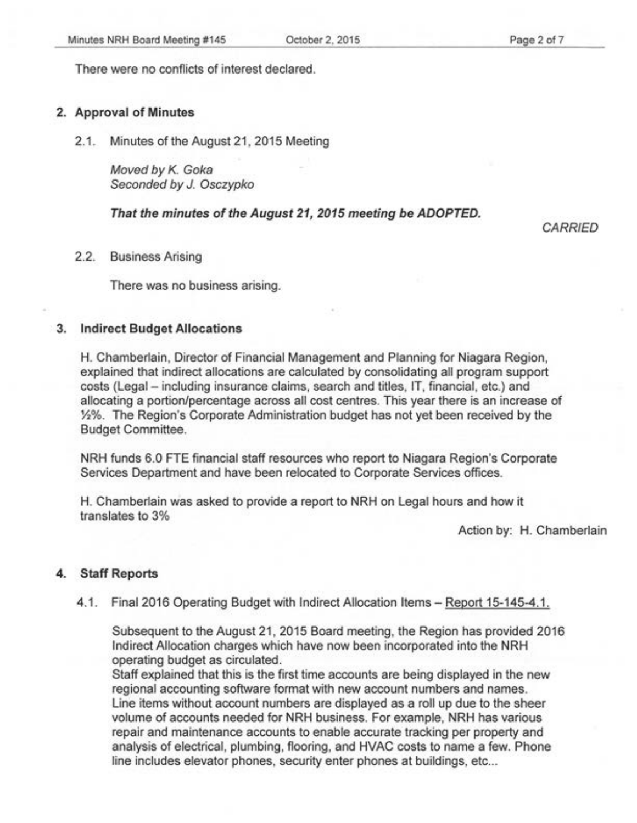There were no conflicts of interest declared.

#### 2. Approval of Minutes

2.1. Minutes of the August 21, 2015 Meeting

Moved by K. Goka Seconded by J. Osczypko

#### That the minutes of the August 21, 2015 meeting be ADOPTED.

**CARRIED** 

2.2. Business Arising

There was no business arising.

#### 3. Indirect Budget Allocations

H. Chamberlain, Director of Financial Management and Planning for Niagara Region, explained that indirect allocations are calculated by consolidating all program support costs (Legal- including insurance claims, search and titles, IT, financial, etc.) and allocating a portion/percentage across all cost centres. This year there is an increase of 1/2%. The Region's Corporate Administration budget has not yet been received by the Budget Committee.

NRH funds 6.0 FTE financial staff resources who report to Niagara Region's Corporate Services Department and have been relocated to Corporate Services offices.

H. Chamberlain was asked to provide a report to NRH on Legal hours and how it translates to 3%

Action by: H. Chamberlain

#### 4. Staff Reports

4.1. Final 2016 Operating Budget with Indirect Allocation Items- Report 15-145-4.1.

Subsequent to the August 21, 2015 Board meeting, the Region has provided 2016 Indirect Allocation charges which have now been incorporated into the NRH operating budget as circulated.

Staff explained that this is the first time accounts are being displayed in the new regional accounting software format with new account numbers and names. Line items without account numbers are displayed as a roll up due to the sheer volume of accounts needed for NRH business. For example, NRH has various repair and maintenance accounts to enable accurate tracking per property and analysis of electrical, plumbing, flooring, and HVAC costs to name a few. Phone line includes elevator phones, security enter phones at buildings, etc...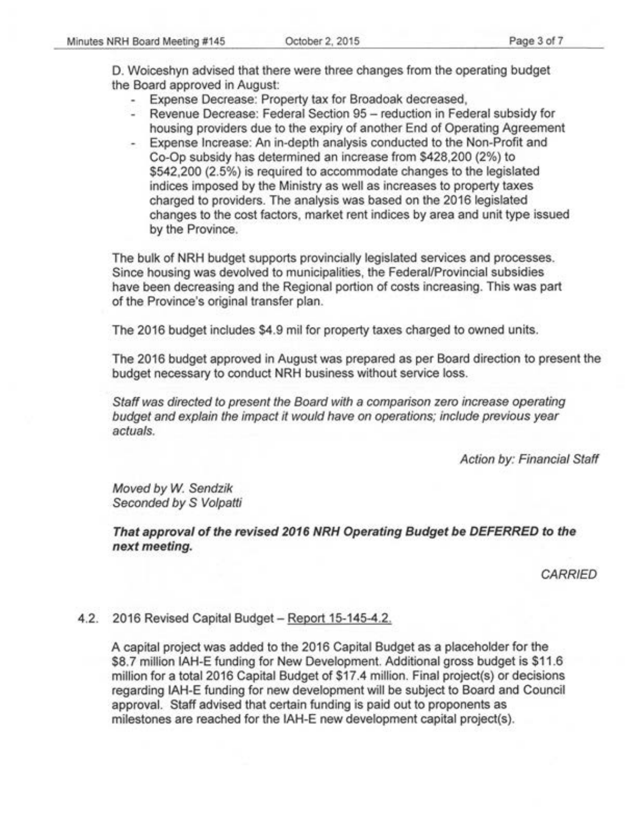D. Woiceshyn advised that there were three changes from the operating budget the Board approved in August:

- Expense Decrease: Property tax for Broadoak decreased,
- Revenue Decrease: Federal Section 95 reduction in Federal subsidy for housing providers due to the expiry of another End of Operating Agreement
- Expense Increase: An in-depth analysis conducted to the Non-Profit and Co-Op subsidy has determined an increase from \$428,200 (2%) to \$542,200 (2.5%) is required to accommodate changes to the legislated indices imposed by the Ministry as well as increases to property taxes charged to providers. The analysis was based on the 2016 legislated changes to the cost factors, market rent indices by area and unit type issued by the Province.

The bulk of NRH budget supports provincially legislated services and processes. Since housing was devolved to municipalities, the Federal/Provincial subsidies have been decreasing and the Regional portion of costs increasing. This was part of the Province's original transfer plan.

The 2016 budget includes \$4.9 mil for property taxes charged to owned units.

The 2016 budget approved in August was prepared as per Board direction to present the budget necessary to conduct NRH business without service loss.

Staff was directed to present the Board with a comparison zero increase operating budget and explain the impact it would have on operations; include previous year actuals.

Action by: Financial Staff

Moved by W. Sendzik Seconded by S Volpatti

**That approval of the revised 2016 NRH Operating Budget be DEFERRED to the next meeting.** 

CARRIED

## 4.2. 2016 Revised Capital Budget- Report 15-145-4.2.

A capital project was added to the 2016 Capital Budget as a placeholder for the \$8.7 million IAH-E funding for New Development. Additional gross budget is \$11.6 million for a total 2016 Capital Budget of \$17.4 million. Final project(s) or decisions regarding IAH-E funding for new development will be subject to Board and Council approval. Staff advised that certain funding is paid out to proponents as milestones are reached for the IAH-E new development capital project(s).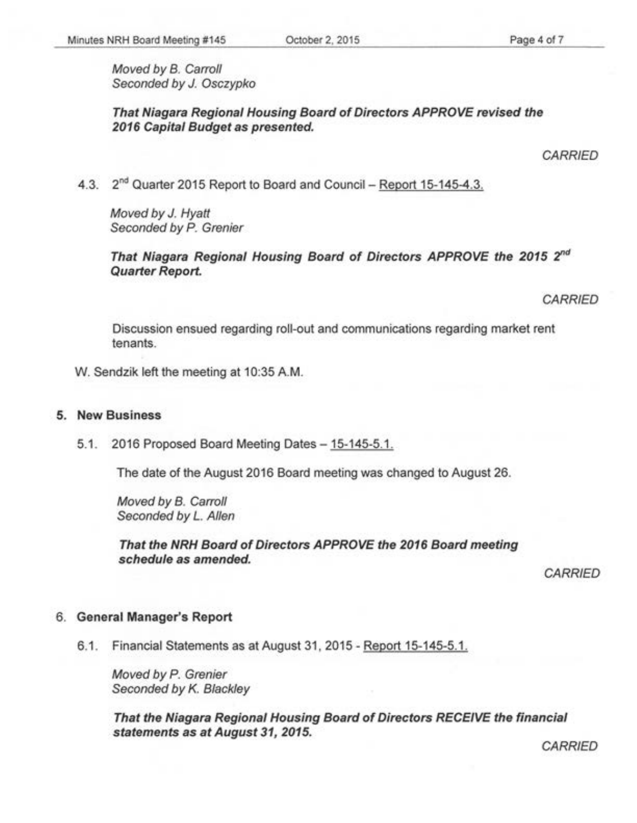Moved by B. Carroll Seconded by J. Osczypko

**That Niagara Regional Housing Board of Directors APPROVE revised the 2016 Capital Budget as presented.** 

4.3. 2<sup>nd</sup> Quarter 2015 Report to Board and Council - Report 15-145-4.3.

Moved by J. Hyatt Seconded by *P.* Grenier

**That Niagara Regional Housing Board of Directors APPROVE the 2015** *2"d*  **Quarter Report.** 

*CARRIED* 

Discussion ensued regarding roll-out and communications regarding market rent tenants.

W. Sendzik left the meeting at 10:35 AM.

#### **5. New Business**

5.1. 2016 Proposed Board Meeting Dates- 15-145-5.1.

The date of the August 2016 Board meeting was changed to August 26.

Moved by B. Carroll Seconded by *L.* Allen

**That the NRH Board of Directors APPROVE the 2016 Board meeting schedule as amended.** 

CARRIED

#### 6. **General Manager's Report**

6.1. Financial Statements as at August 31, 2015 - Report 15-145-5.1.

Moved by P. Grenier Seconded by K. Blackley

**That the Niagara Regional Housing Board of Directors RECEIVE the financial statements as at August 31, 2015.** 

**CARRIED** 

**CARRIED**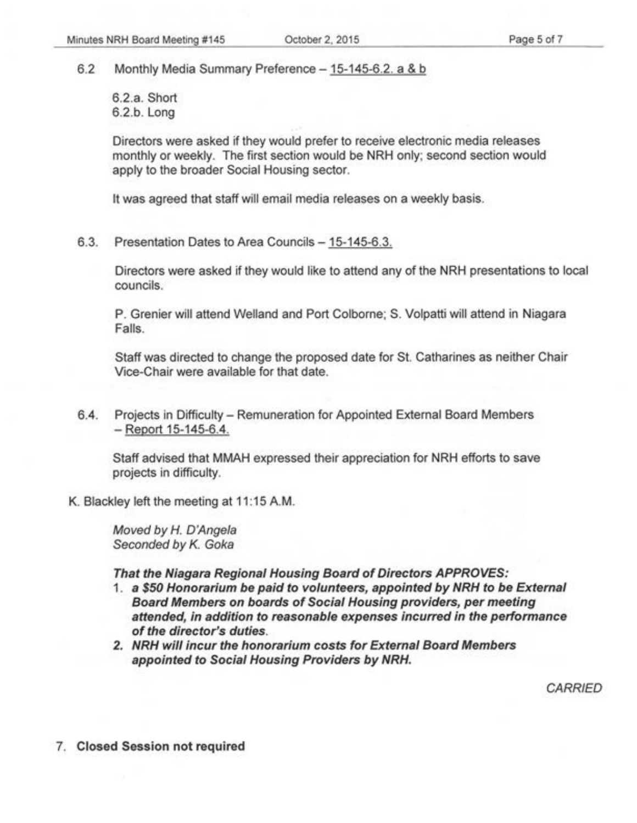6.2 Monthly Media Summary Preference- 15-145-6.2. a & b

6.2.a. Short 6.2.b. Long

Directors were asked if they would prefer to receive electronic media releases monthly or weekly. The first section would be NRH only; second section would apply to the broader Social Housing sector.

It was agreed that staff will email media releases on a weekly basis.

6.3. Presentation Dates to Area Councils - 15-145-6.3.

Directors were asked if they would like to attend any of the NRH presentations to local councils.

P. Grenier will attend Weiland and Port Colborne; S. Volpatti will attend in Niagara Falls.

Staff was directed to change the proposed date for St. Catharines as neither Chair Vice-Chair were available for that date.

6.4. Projects in Difficulty- Remuneration for Appointed External Board Members -Report 15-145-6.4.

Staff advised that MMAH expressed their appreciation for NRH efforts to save projects in difficulty.

K. Blackley left the meeting at 11:15 A.M.

Moved by *H.* D'Angela Seconded by K. Goka

**That the Niagara Regional Housing Board of Directors APPROVES:** 

- 1 . **a \$50 Honorarium be paid to volunteers, appointed by NRH to be External Board Members on boards of Social Housing providers, per meeting attended, in addition to reasonable expenses incurred in the performance of the director's duties.**
- **2. NRH will incur the honorarium costs for External Board Members appointed to Social Housing Providers by NRH.**

**CARRIED** 

7. **Closed Session not required**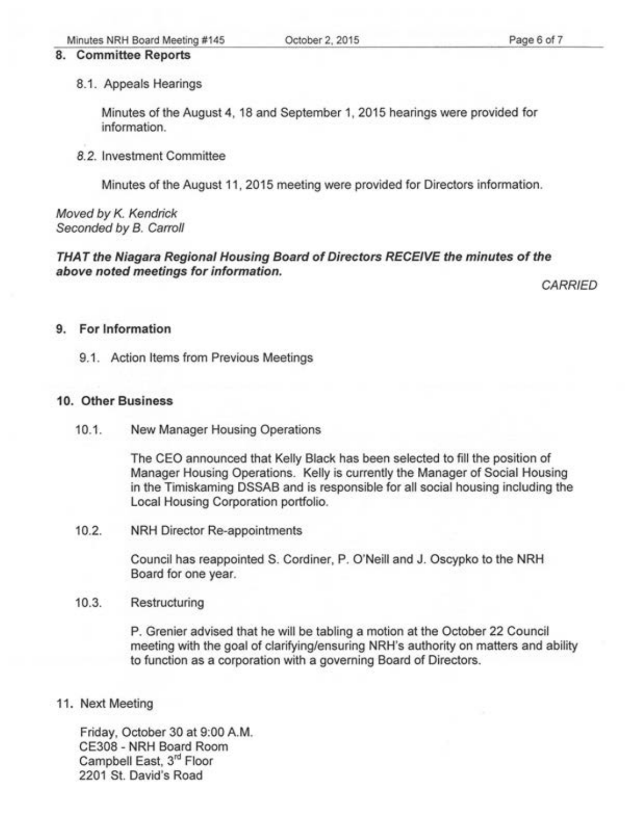#### 8. Committee Reports

#### 8.1. Appeals Hearings

Minutes of the August 4, 18 and September 1, 2015 hearings were provided for information.

#### 8.2. Investment Committee

Minutes of the August 11, 2015 meeting were provided for Directors information.

#### Moved by K. Kendrick Seconded by B. Carroll

## THAT the Niagara Regional Housing Board of Directors RECEIVE the minutes of the above noted meetings for information.

**CARRIED** 

## 9. For Information

#### 9.1. Action Items from Previous Meetings

#### 10. Other Business

10.1. New Manager Housing Operations

The CEO announced that Kelly Black has been selected to fill the position of Manager Housing Operations. Kelly is currently the Manager of Social Housing in the Timiskaming DSSAB and is responsible for all social housing including the Local Housing Corporation portfolio.

## 10.2. NRH Director Re-appointments

Council has reappointed S. Cordiner, P. O'Neill and J. Oscypko to the NRH Board for one year.

#### 10.3. Restructuring

P. Grenier advised that he will be tabling a motion at the October 22 Council meeting with the goal of clarifying/ensuring NRH's authority on matters and ability to function as a corporation with a governing Board of Directors.

## 11. Next Meeting

Friday, October 30 at 9:00 A.M. CE308 - NRH Board Room Campbell East, 3<sup>rd</sup> Floor 2201 St. David's Road